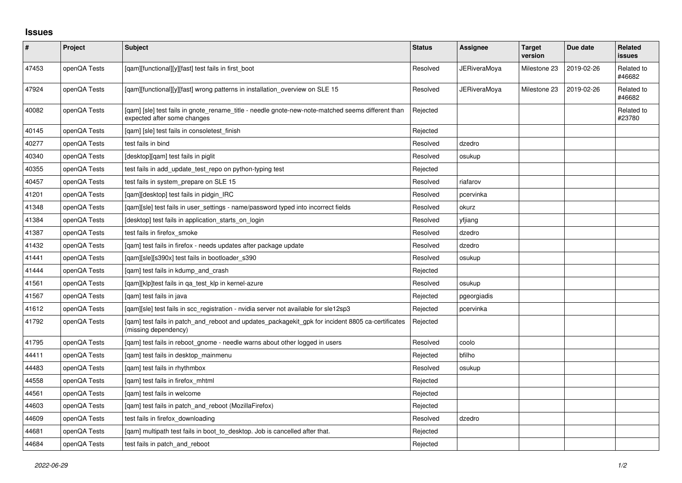## **Issues**

| $\vert$ # | Project      | Subject                                                                                                                          | <b>Status</b> | Assignee            | <b>Target</b><br>version | Due date   | Related<br>issues    |
|-----------|--------------|----------------------------------------------------------------------------------------------------------------------------------|---------------|---------------------|--------------------------|------------|----------------------|
| 47453     | openQA Tests | [qam][functional][y][fast] test fails in first_boot                                                                              | Resolved      | <b>JERiveraMoya</b> | Milestone 23             | 2019-02-26 | Related to<br>#46682 |
| 47924     | openQA Tests | [qam][functional][y][fast] wrong patterns in installation_overview on SLE 15                                                     | Resolved      | <b>JERiveraMoya</b> | Milestone 23             | 2019-02-26 | Related to<br>#46682 |
| 40082     | openQA Tests | [gam] [sle] test fails in gnote rename title - needle gnote-new-note-matched seems different than<br>expected after some changes | Rejected      |                     |                          |            | Related to<br>#23780 |
| 40145     | openQA Tests | [qam] [sle] test fails in consoletest_finish                                                                                     | Rejected      |                     |                          |            |                      |
| 40277     | openQA Tests | test fails in bind                                                                                                               | Resolved      | dzedro              |                          |            |                      |
| 40340     | openQA Tests | [desktop][qam] test fails in piglit                                                                                              | Resolved      | osukup              |                          |            |                      |
| 40355     | openQA Tests | test fails in add update test repo on python-typing test                                                                         | Rejected      |                     |                          |            |                      |
| 40457     | openQA Tests | test fails in system_prepare on SLE 15                                                                                           | Resolved      | riafarov            |                          |            |                      |
| 41201     | openQA Tests | [gam][desktop] test fails in pidgin IRC                                                                                          | Resolved      | pcervinka           |                          |            |                      |
| 41348     | openQA Tests | [qam][sle] test fails in user_settings - name/password typed into incorrect fields                                               | Resolved      | okurz               |                          |            |                      |
| 41384     | openQA Tests | [desktop] test fails in application_starts_on_login                                                                              | Resolved      | yfjiang             |                          |            |                      |
| 41387     | openQA Tests | test fails in firefox_smoke                                                                                                      | Resolved      | dzedro              |                          |            |                      |
| 41432     | openQA Tests | [gam] test fails in firefox - needs updates after package update                                                                 | Resolved      | dzedro              |                          |            |                      |
| 41441     | openQA Tests | [qam][sle][s390x] test fails in bootloader_s390                                                                                  | Resolved      | osukup              |                          |            |                      |
| 41444     | openQA Tests | [gam] test fails in kdump and crash                                                                                              | Rejected      |                     |                          |            |                      |
| 41561     | openQA Tests | [gam][klp]test fails in ga test klp in kernel-azure                                                                              | Resolved      | osukup              |                          |            |                      |
| 41567     | openQA Tests | [gam] test fails in java                                                                                                         | Rejected      | pgeorgiadis         |                          |            |                      |
| 41612     | openQA Tests | [gam][sle] test fails in scc registration - nvidia server not available for sle12sp3                                             | Rejected      | pcervinka           |                          |            |                      |
| 41792     | openQA Tests | [qam] test fails in patch_and_reboot and updates_packagekit_gpk for incident 8805 ca-certificates<br>(missing dependency)        | Rejected      |                     |                          |            |                      |
| 41795     | openQA Tests | [gam] test fails in reboot gnome - needle warns about other logged in users                                                      | Resolved      | coolo               |                          |            |                      |
| 44411     | openQA Tests | [qam] test fails in desktop_mainmenu                                                                                             | Rejected      | bfilho              |                          |            |                      |
| 44483     | openQA Tests | [gam] test fails in rhythmbox                                                                                                    | Resolved      | osukup              |                          |            |                      |
| 44558     | openQA Tests | [qam] test fails in firefox_mhtml                                                                                                | Rejected      |                     |                          |            |                      |
| 44561     | openQA Tests | [gam] test fails in welcome                                                                                                      | Rejected      |                     |                          |            |                      |
| 44603     | openQA Tests | [qam] test fails in patch_and_reboot (MozillaFirefox)                                                                            | Rejected      |                     |                          |            |                      |
| 44609     | openQA Tests | test fails in firefox downloading                                                                                                | Resolved      | dzedro              |                          |            |                      |
| 44681     | openQA Tests | [qam] multipath test fails in boot_to_desktop. Job is cancelled after that.                                                      | Rejected      |                     |                          |            |                      |
| 44684     | openQA Tests | test fails in patch and reboot                                                                                                   | Rejected      |                     |                          |            |                      |